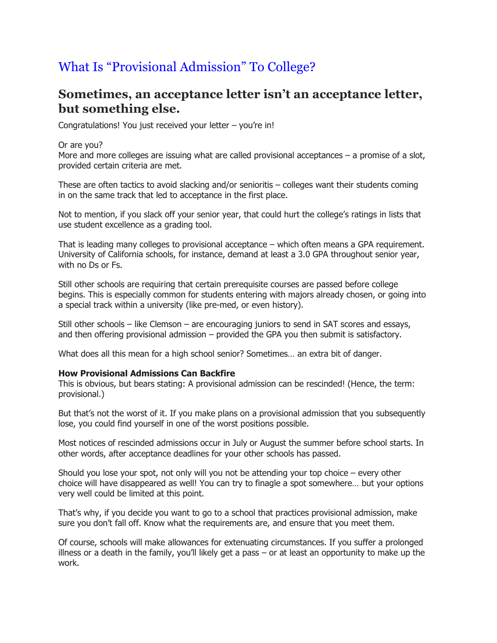## What Is "Provisional Admission" To College?

## **Sometimes, an acceptance letter isn't an acceptance letter, but something else.**

Congratulations! You just received your letter – you're in!

## Or are you?

More and more colleges are issuing what are called provisional acceptances – a promise of a slot, provided certain criteria are met.

These are often tactics to avoid slacking and/or senioritis – colleges want their students coming in on the same track that led to acceptance in the first place.

Not to mention, if you slack off your senior year, that could hurt the college's ratings in lists that use student excellence as a grading tool.

That is leading many colleges to provisional acceptance – which often means a GPA requirement. University of California schools, for instance, demand at least a 3.0 GPA throughout senior year, with no Ds or Fs.

Still other schools are requiring that certain prerequisite courses are passed before college begins. This is especially common for students entering with majors already chosen, or going into a special track within a university (like pre-med, or even history).

Still other schools – like Clemson – are encouraging juniors to send in SAT scores and essays, and then offering provisional admission – provided the GPA you then submit is satisfactory.

What does all this mean for a high school senior? Sometimes… an extra bit of danger.

## **How Provisional Admissions Can Backfire**

This is obvious, but bears stating: A provisional admission can be rescinded! (Hence, the term: provisional.)

But that's not the worst of it. If you make plans on a provisional admission that you subsequently lose, you could find yourself in one of the worst positions possible.

Most notices of rescinded admissions occur in July or August the summer before school starts. In other words, after acceptance deadlines for your other schools has passed.

Should you lose your spot, not only will you not be attending your top choice – every other choice will have disappeared as well! You can try to finagle a spot somewhere… but your options very well could be limited at this point.

That's why, if you decide you want to go to a school that practices provisional admission, make sure you don't fall off. Know what the requirements are, and ensure that you meet them.

Of course, schools will make allowances for extenuating circumstances. If you suffer a prolonged illness or a death in the family, you'll likely get a pass – or at least an opportunity to make up the work.